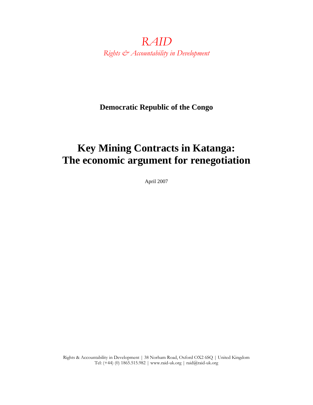*RAID Rights & Accountability in Development* 

**Democratic Republic of the Congo** 

# **Key Mining Contracts in Katanga: The economic argument for renegotiation**

April 2007

Rights & Accountability in Development | 38 Norham Road, Oxford OX2 6SQ | United Kingdom Tel: (+44) (0) 1865.515.982 | www.raid-uk.org | raid@raid-uk.org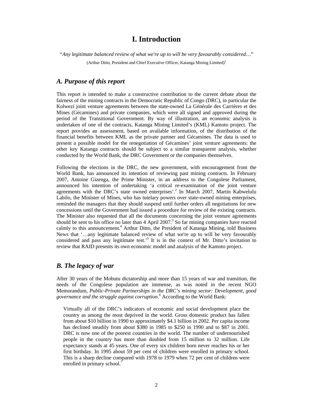### **I. Introduction**

*"Any legitimate balanced review of what we're up to will be very favourably considered*…"

(Arthur Ditto, President and Chief Executive Officer, Katanga Mining Limited)1

### *A. Purpose of this report*

This report is intended to make a constructive contribution to the current debate about the fairness of the mining contracts in the Democratic Republic of Congo (DRC), in particular the Kolwezi joint venture agreements between the state-owned La Générale des Carrières et des Mines (Gécamines) and private companies, which were all signed and approved during the period of the Transitional Government. By way of illustration, an economic analysis is undertaken of one of the contracts, Katanga Mining Limited's (KML) Kamoto project. The report provides an assessment, based on available information, of the distribution of the financial benefits between KML as the private partner and Gécamines. The data is used to present a possible model for the renegotiation of Gécamines' joint venture agreements: the other key Katanga contracts should be subject to a similar transparent analysis, whether conducted by the World Bank, the DRC Government or the companies themselves.

Following the elections in the DRC, the new government, with encouragement from the World Bank, has announced its intention of reviewing past mining contracts. In February 2007, Antoine Gizenga, the Prime Minister, in an address to the Congolese Parliament, announced his intention of undertaking 'a critical re-examination of the joint venture agreements with the DRC's state owned enterprises'.<sup>2</sup> In March 2007, Martin Kabwelulu Labilo, the Minister of Mines, who has tutelary powers over state-owned mining enterprises, reminded the managers that they should suspend until further orders all negotiations for new concessions until the Government had issued a procedure for review of the existing contracts. The Minister also requested that all the documents concerning the joint venture agreements should be sent to his office no later than 4 April 2007.<sup>3</sup> So far mining companies have reacted calmly to this announcement.<sup>4</sup> Arthur Ditto, the President of Katanga Mining, told Business News that '…any legitimate balanced review of what we're up to will be very favourably considered and pass any legitimate test.<sup>5</sup> It is in the context of Mr. Ditto's invitation to review that RAID presents its own economic model and analysis of the Kamoto project.

### *B. The legacy of war*

After 30 years of the Mobutu dictatorship and more than 15 years of war and transition, the needs of the Congolese population are immense, as was noted in the recent NGO Memorandum, *Public-Private Partnerships in the DRC's mining sector: Development, good governance and the struggle against corruption*. 6 According to the World Bank:

Virtually all of the DRC's indicators of economic and social development place the country as among the most deprived in the world. Gross domestic product has fallen from about \$10 billion in 1990 to approximately \$4.1 billion in 2002. Per capita income has declined steadily from about \$380 in 1985 to \$250 in 1990 and to \$87 in 2001. DRC is now one of the poorest countries in the world. The number of undernourished people in the country has more than doubled from 15 million to 32 million. Life expectancy stands at 45 years. One of every six children born never reaches his or her first birthday. In 1995 about 59 per cent of children were enrolled in primary school. This is a sharp decline compared with 1978 to 1979 when 72 per cent of children were enrolled in primary school.<sup>7</sup>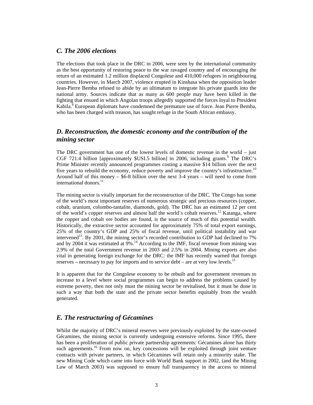### *C. The 2006 elections*

The elections that took place in the DRC in 2006, were seen by the international community as the best opportunity of restoring peace to the war ravaged country and of encouraging the return of an estimated 1.2 million displaced Congolese and 410,000 refugees in neighbouring countries. However, in March 2007, violence erupted in Kinshasa when the opposition leader Jean-Pierre Bemba refused to abide by an ultimatum to integrate his private guards into the national army. Sources indicate that as many as 600 people may have been killed in the fighting that ensued in which Angolan troops allegedly supported the forces loyal to President Kabila.<sup>8</sup> European diplomats have condemned the premature use of force. Jean Pierre Bemba, who has been charged with treason, has sought refuge in the South African embassy.

### *D. Reconstruction, the domestic economy and the contribution of the mining sector*

The DRC government has one of the lowest levels of domestic revenue in the world – just CGF 721.4 billion [approximately \$USI.5 billion] in 2006, including grants. $9$  The DRC's Prime Minister recently announced programmes costing a massive \$14 billion over the next five years to rebuild the economy, reduce poverty and improve the country's infrastructure.<sup>10</sup> Around half of this money  $-$  \$6-8 billion over the next 3-4 years  $-$  will need to come from international donors.<sup>11</sup>

The mining sector is vitally important for the reconstruction of the DRC. The Congo has some of the world's most important reserves of numerous strategic and precious resources (copper, cobalt, uranium, colombo-tantalite, diamonds, gold). The DRC has an estimated 12 per cent of the world's copper reserves and almost half the world's cobalt reserves.<sup>12</sup> Katanga, where the copper and cobalt ore bodies are found, is the source of much of this potential wealth. Historically, the extractive sector accounted for approximately 75% of total export earnings, 25% of the country's GDP and 25% of fiscal revenue, until political instability and war intervened<sup>13</sup>. By 2001, the mining sector's recorded contribution to GDP had declined to 7% and by 2004 it was estimated at  $9\%$ .<sup>14</sup> According to the IMF, fiscal revenue from mining was 2.9% of the total Government revenue in 2003 and 2.5% in 2004. Mining exports are also vital in generating foreign exchange for the DRC: the IMF has recently warned that foreign reserves – necessary to pay for imports and to service debt – are at very low levels.<sup>15</sup>

It is apparent that for the Congolese economy to be rebuilt and for government revenues to increase to a level where social programmes can begin to address the problems caused by extreme poverty, then not only must the mining sector be revitalised, but it must be done in such a way that both the state and the private sector benefits equitably from the wealth generated.

### *E. The restructuring of Gécamines*

Whilst the majority of DRC's mineral reserves were previously exploited by the state-owned Gécamines, the mining sector is currently undergoing extensive reforms. Since 1995, there has been a proliferation of public private partnership agreements: Gécamines alone has thirty such agreements.<sup>16</sup> From now on, key concessions will be exploited through joint venture contracts with private partners, in which Gécamines will retain only a minority stake. The new Mining Code which came into force with World Bank support in 2002, (and the Mining Law of March 2003) was supposed to ensure full transparency in the access to mineral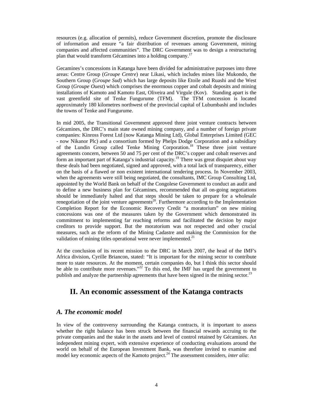resources (e.g. allocation of permits), reduce Government discretion, promote the disclosure of information and ensure "a fair distribution of revenues among Government, mining companies and affected communities". The DRC Government was to design a restructuring plan that would transform Gécamines into a holding company.<sup>17</sup>

Gecamines's concessions in Katanga have been divided for administrative purposes into three areas: Centre Group (*Groupe Centre*) near Likasi, which includes mines like Mukondo, the Southern Group (G*roupe Sud*) which has large deposits like Etoile and Ruashi and the West Group (*Groupe Ouest*) which comprises the enormous copper and cobalt deposits and mining installations of Kamoto and Kamoto East, Oliveira and Virgule (Kov). Standing apart is the vast greenfield site of Tenke Fungurume (TFM). The TFM concession is located approximately 180 kilometres northwest of the provincial capital of Lubumbashi and includes the towns of Tenke and Fungurume.

In mid 2005, the Transitional Government approved three joint venture contracts between Gécamines, the DRC's main state owned mining company, and a number of foreign private companies: Kinross Forest Ltd (now Katanga Mining Ltd), Global Enterprises Limited (GEC - now Nikanor Plc) and a consortium formed by Phelps Dodge Corporation and a subsidiary of the Lundin Group called Tenke Mining Corporation.<sup>18</sup> These three joint venture agreements concern, between 50 and 75 per cent of the DRC's copper and cobalt reserves and form an important part of Katanga's industrial capacity.<sup>19</sup> There was great disquiet about way these deals had been negotiated, signed and approved, with a total lack of transparency, either on the basis of a flawed or non existent international tendering process. In November 2003, when the agreements were still being negotiated, the consultants, IMC Group Consulting Ltd, appointed by the World Bank on behalf of the Congolese Government to conduct an audit and to define a new business plan for Gécamines, recommended that all on-going negotiations should be immediately halted and that steps should be taken to prepare for a wholesale renegotiation of the joint venture agreements<sup>20</sup>. Furthermore according to the Implementation Completion Report for the Economic Recovery Credit "a moratorium" on new mining concessions was one of the measures taken by the Government which demonstrated its commitment to implementing far reaching reforms and facilitated the decision by major creditors to provide support. But the moratorium was not respected and other crucial measures, such as the reform of the Mining Cadastre and making the Commission for the validation of mining titles operational were never implemented. $^{21}$ 

At the conclusion of its recent mission to the DRC in March 2007, the head of the IMF's Africa division, Cyrille Briancon, stated: "It is important for the mining sector to contribute more to state resources. At the moment, certain companies do, but I think this sector should be able to contribute more revenues."<sup>22</sup> To this end, the IMF has urged the government to publish and analyze the partnership agreements that have been signed in the mining sector.<sup>23</sup>

### **II. An economic assessment of the Katanga contracts**

### *A. The economic model*

In view of the controversy surrounding the Katanga contracts, it is important to assess whether the right balance has been struck between the financial rewards accruing to the private companies and the stake in the assets and level of control retained by Gécamines. An independent mining expert, with extensive experience of conducting evaluations around the world on behalf of the European Investment Bank, was therefore invited to examine and model key economic aspects of the Kamoto project.24 The assessment considers, *inter alia*: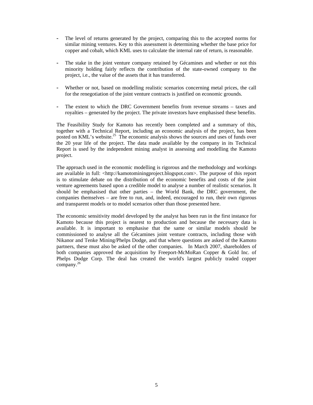- **-** The level of returns generated by the project, comparing this to the accepted norms for similar mining ventures. Key to this assessment is determining whether the base price for copper and cobalt, which KML uses to calculate the internal rate of return, is reasonable.
- **-** The stake in the joint venture company retained by Gécamines and whether or not this minority holding fairly reflects the contribution of the state-owned company to the project, i.e., the value of the assets that it has transferred.
- **-** Whether or not, based on modelling realistic scenarios concerning metal prices, the call for the renegotiation of the joint venture contracts is justified on economic grounds.
- **-** The extent to which the DRC Government benefits from revenue streams taxes and royalties – generated by the project. The private investors have emphasised these benefits.

The Feasibility Study for Kamoto has recently been completed and a summary of this, together with a Technical Report, including an economic analysis of the project, has been posted on KML's website.<sup>25</sup> The economic analysis shows the sources and uses of funds over the 20 year life of the project. The data made available by the company in its Technical Report is used by the independent mining analyst in assessing and modelling the Kamoto project.

The approach used in the economic modelling is rigorous and the methodology and workings are available in full: <http://kamotominingproject.blogspot.com>. The purpose of this report is to stimulate debate on the distribution of the economic benefits and costs of the joint venture agreements based upon a credible model to analyse a number of realistic scenarios. It should be emphasised that other parties – the World Bank, the DRC government, the companies themselves – are free to run, and, indeed, encouraged to run, their own rigorous and transparent models or to model scenarios other than those presented here.

The economic sensitivity model developed by the analyst has been run in the first instance for Kamoto because this project is nearest to production and because the necessary data is available. It is important to emphasise that the same or similar models should be commissioned to analyse all the Gécamines joint venture contracts, including those with Nikanor and Tenke Mining/Phelps Dodge, and that where questions are asked of the Kamoto partners, these must also be asked of the other companies. In March 2007, shareholders of both companies approved the acquisition by Freeport-McMoRan Copper & Gold Inc. of Phelps Dodge Corp. The deal has created the world's largest publicly traded copper company.26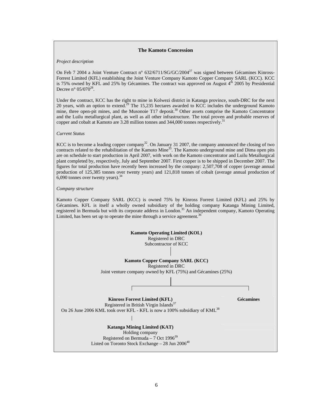#### **The Kamoto Concession**

#### *Project description*

On Feb 7 2004 a Joint Venture Contract n°  $632/6711/SG/GC/2004^{27}$  was signed between Gécamines Kinross-Forrest Limited (KFL) establishing the Joint Venture Company Kamoto Copper Company SARL (KCC). KCC is 75% owned by KFL and 25% by Gécamines. The contract was approved on August  $4<sup>th</sup>$  2005 by Presidential Decree n° 05/070<sup>28</sup>.

Under the contract, KCC has the right to mine in Kolwezi district in Katanga province, south-DRC for the next 20 years, with an option to extend.<sup>29</sup> The 15,235 hectares awarded to KCC includes the underground Kamoto mine, three open-pit mines, and the Musonoie T17 deposit.<sup>30</sup> Other assets comprise the Kamoto Concentrator and the Luilu metallurgical plant, as well as all other infrastructure. The total proven and probable reserves of copper and cobalt at Kamoto are 3.28 million tonnes and 344,000 tonnes respectively.<sup>3</sup>

#### *Current Status*

KCC is to become a leading copper company<sup>32</sup>. On January 31 2007, the company announced the closing of two contracts related to the rehabilitation of the Kamoto Mine<sup>33</sup>. The Kamoto underground mine and Dima open pits are on schedule to start production in April 2007, with work on the Kamoto concentrator and Luilu Metallurgical plant completed by, respectively, July and September 2007. First copper is to be shipped in December 2007. The figures for total production have recently been increased by the company: 2,507,708 of copper (average annual production of 125,385 tonnes over twenty years) and 121,818 tonnes of cobalt (average annual production of  $6,090$  tonnes over twenty years).  $34$ 

#### *Company structure*

Kamoto Copper Company SARL (KCC) is owned 75% by Kinross Forrest Limited (KFL) and 25% by Gécamines. KFL is itself a wholly owned subsidiary of the holding company Katanga Mining Limited, registered in Bermuda but with its corporate address in London.<sup>35</sup> An independent company, Kamoto Operating registered in Bermuda but with its corporate address in London.<sup>35</sup> An independent company, Kamoto Operating Limited, has been set up to operate the mine through a service agreement.<sup>3</sup>

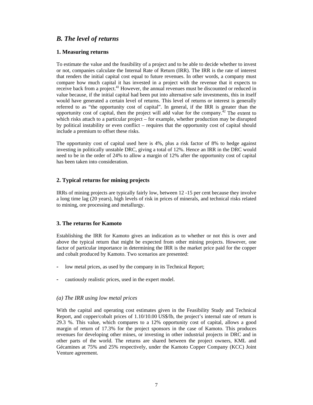### *B. The level of returns*

#### **1. Measuring returns**

To estimate the value and the feasibility of a project and to be able to decide whether to invest or not, companies calculate the Internal Rate of Return (IRR). The IRR is the rate of interest that renders the initial capital cost equal to future revenues. In other words, a company must compare how much capital it has invested in a project with the revenue that it expects to receive back from a project.<sup>41</sup> However, the annual revenues must be discounted or reduced in value because, if the initial capital had been put into alternative safe investments, this in itself would have generated a certain level of returns. This level of returns or interest is generally referred to as "the opportunity cost of capital". In general, if the IRR is greater than the opportunity cost of capital, then the project will add value for the company.<sup> $32$ </sup> The extent to which risks attach to a particular project – for example, whether production may be disrupted by political instability or even conflict – requires that the opportunity cost of capital should include a premium to offset these risks.

The opportunity cost of capital used here is 4%, plus a risk factor of 8% to hedge against investing in politically unstable DRC, giving a total of 12%. Hence an IRR in the DRC would need to be in the order of 24% to allow a margin of 12% after the opportunity cost of capital has been taken into consideration.

#### **2. Typical returns for mining projects**

IRRs of mining projects are typically fairly low, between 12 -15 per cent because they involve a long time lag (20 years), high levels of risk in prices of minerals, and technical risks related to mining, ore processing and metallurgy.

#### **3. The returns for Kamoto**

Establishing the IRR for Kamoto gives an indication as to whether or not this is over and above the typical return that might be expected from other mining projects. However, one factor of particular importance in determining the IRR is the market price paid for the copper and cobalt produced by Kamoto. Two scenarios are presented:

- **-** low metal prices, as used by the company in its Technical Report;
- **-** cautiously realistic prices, used in the expert model.

#### *(a) The IRR using low metal prices*

With the capital and operating cost estimates given in the Feasibility Study and Technical Report, and copper/cobalt prices of 1.10/10.00 US\$/lb, the project's internal rate of return is 29.3 %. This value, which compares to a 12% opportunity cost of capital, allows a good margin of return of 17.3% for the project sponsors in the case of Kamoto. This produces revenues for developing other mines, or investing in other industrial projects in DRC and in other parts of the world. The returns are shared between the project owners, KML and Gécamines at 75% and 25% respectively, under the Kamoto Copper Company (KCC) Joint Venture agreement.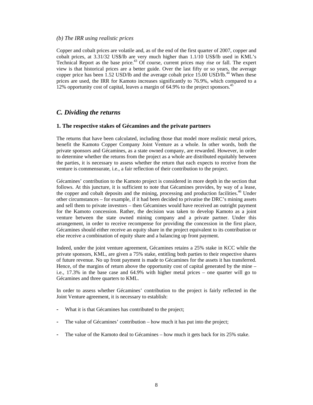#### *(b) The IRR using realistic prices*

Copper and cobalt prices are volatile and, as of the end of the first quarter of 2007, copper and cobalt prices, at 3.31/32 US\$/lb are very much higher than 1.1/10 US\$/lb used in KML's Technical Report as the base price. $43$  Of course, current prices may rise or fall. The expert view is that historical prices are a better guide. Over the last fifty or so years, the average copper price has been  $1.52$  USD/lb and the average cobalt price  $15.00$  USD/lb.<sup>44</sup> When these prices are used, the IRR for Kamoto increases significantly to 76.9%, which compared to a 12% opportunity cost of capital, leaves a margin of 64.9% to the project sponsors.<sup>45</sup>

### *C. Dividing the returns*

#### **1. The respective stakes of Gécamines and the private partners**

The returns that have been calculated, including those that model more realistic metal prices, benefit the Kamoto Copper Company Joint Venture as a whole. In other words, both the private sponsors and Gécamines, as a state owned company, are rewarded. However, in order to determine whether the returns from the project as a whole are distributed equitably between the parties, it is necessary to assess whether the return that each expects to receive from the venture is commensurate, i.e., a fair reflection of their contribution to the project.

Gécamines' contribution to the Kamoto project is considered in more depth in the section that follows. At this juncture, it is sufficient to note that Gécamines provides, by way of a lease, the copper and cobalt deposits and the mining, processing and production facilities.<sup>46</sup> Under other circumstances – for example, if it had been decided to privatise the DRC's mining assets and sell them to private investors – then Gécamines would have received an outright payment for the Kamoto concession. Rather, the decision was taken to develop Kamoto as a joint venture between the state owned mining company and a private partner. Under this arrangement, in order to receive recompense for providing the concession in the first place, Gécamines should either receive an equity share in the project equivalent to its contribution or else receive a combination of equity share and a balancing up front payment.

Indeed, under the joint venture agreement, Gécamines retains a 25% stake in KCC while the private sponsors, KML, are given a 75% stake, entitling both parties to their respective shares of future revenue. No up front payment is made to Gécamines for the assets it has transferred. Hence, of the margins of return above the opportunity cost of capital generated by the mine – i.e., 17.3% in the base case and 64.9% with higher metal prices – one quarter will go to Gécamines and three quarters to KML.

In order to assess whether Gécamines' contribution to the project is fairly reflected in the Joint Venture agreement, it is necessary to establish:

- What it is that Gécamines has contributed to the project;
- **-** The value of Gécamines' contribution how much it has put into the project;
- **-** The value of the Kamoto deal to Gécamines how much it gets back for its 25% stake.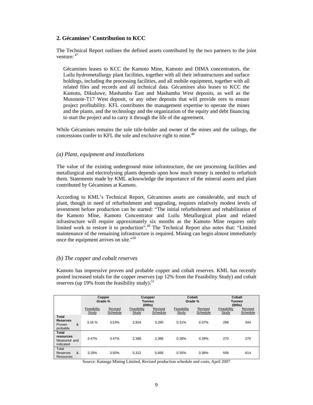#### **2. Gécamines' Contribution to KCC**

The Technical Report outlines the defined assets contributed by the two partners to the joint venture: 47

Gécamines leases to KCC the Kamoto Mine, Kamoto and DIMA concentrators, the Luilu hydrometallurgy plant facilities, together with all their infrastructures and surface holdings, including the processing facilities, and all mobile equipment, together with all related files and records and all technical data. Gécamines also leases to KCC the Kamoto, Dikuluwe, Mashamba East and Mashamba West deposits, as well as the Musonoie-T17 West deposit, or any other deposits that will provide ores to ensure project profitability. KFL contributes the management expertise to operate the mines and the plants, and the technology and the organization of the equity and debt financing to start the project and to carry it through the life of the agreement.

While Gécamines remains the sole title-holder and owner of the mines and the tailings, the concessions confer to KFL the sole and exclusive right to mine.<sup>48</sup>

#### *(a) Plant, equipment and installations*

The value of the existing underground mine infrastructure, the ore processing facilities and metallurgical and electrolysing plants depends upon how much money is needed to refurbish them. Statements made by KML acknowledge the importance of the mineral assets and plant contributed by Gécamines at Kamoto.

According to KML's Technical Report, Gécamines assets are considerable, and much of plant, though in need of refurbishment and upgrading, requires relatively modest levels of investment before production can be started: "The initial refurbishment and rehabilitation of the Kamoto Mine, Kamoto Concentrator and Luilu Metallurgical plant and related infrastructure will require approximately six months as the Kamoto Mine requires only limited work to restore it to production".<sup>49</sup> The Technical Report also notes that: "Limited maintenance of the remaining infrastructure is required. Mining can begin almost immediately once the equipment arrives on site."50

#### *(b) The copper and cobalt reserves*

Kamoto has impressive proven and probable copper and cobalt reserves. KML has recently posted increased totals for the copper reserves (up 12% from the Feasibility Study) and cobalt reserves (up 19% from the feasibility study).<sup>51</sup>

|                                                            | Copper<br>Grade %    |                     | Cuopper<br>Tonnes<br>(000s) |                     | Cobalt<br>Grade %    |                     | Cobalt<br><b>Tonnes</b><br>(000s) |                     |
|------------------------------------------------------------|----------------------|---------------------|-----------------------------|---------------------|----------------------|---------------------|-----------------------------------|---------------------|
|                                                            | Feasibility<br>Study | Revised<br>Schedule | Feasibility<br>Study        | Revised<br>Schedule | Feasibility<br>Study | Revised<br>Schedule | Feasibility<br>Study              | Revised<br>Schedule |
| <b>Total</b><br><b>Reserves</b><br>&<br>Proven<br>probable | 3.16%                | 3.53%               | 2,924                       | 3,280               | 0.31%                | 0.37%               | 288                               | 344                 |
| <b>Total</b><br>resources<br>Measured and<br>indicated     | 3.47%                | 3.47%               | 2.388                       | 2.388               | 0.39%                | 0.39%               | 270                               | 270                 |
| Total<br>&<br>Reserves<br>Resources                        | 3.29%                | 3.50%               | 5,312                       | 5,668               | 0.35%                | 0.38%               | 558                               | 614                 |

Source: Katanga Mining Limited, Revised production schedule and costs, April 2007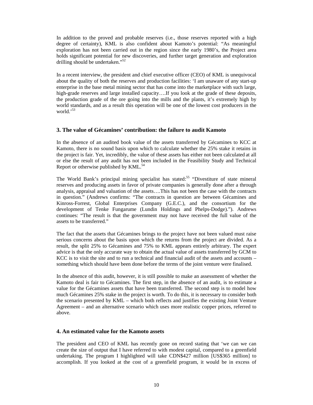In addition to the proved and probable reserves (i.e., those reserves reported with a high degree of certainty), KML is also confident about Kamoto's potential: "As meaningful exploration has not been carried out in the region since the early 1980's, the Project area holds significant potential for new discoveries, and further target generation and exploration drilling should be undertaken."<sup>52</sup>

In a recent interview, the president and chief executive officer (CEO) of KML is unequivocal about the quality of both the reserves and production facilities: 'I am unaware of any start-up enterprise in the base metal mining sector that has come into the marketplace with such large, high-grade reserves and large installed capacity....If you look at the grade of these deposits, the production grade of the ore going into the mills and the plants, it's extremely high by world standards, and as a result this operation will be one of the lowest cost producers in the world.'<sup>53</sup>

#### **3. The value of Gécamines' contribution: the failure to audit Kamoto**

In the absence of an audited book value of the assets transferred by Gécamines to KCC at Kamoto, there is no sound basis upon which to calculate whether the 25% stake it retains in the project is fair. Yet, incredibly, the value of these assets has either not been calculated at all or else the result of any audit has not been included in the Feasibility Study and Technical Report or otherwise published by  $KML$ .<sup>54</sup>

The World Bank's principal mining specialist has stated:<sup>55</sup> "Divestiture of state mineral reserves and producing assets in favor of private companies is generally done after a through analysis, appraisal and valuation of the assets….This has not been the case with the contracts in question." (Andrews confirms: "The contracts in question are between Gécamines and Kinross-Forrest, Global Enterprises Company (G.E.C.), and the consortium for the development of Tenke Fungarume (Lundin Holdings and Phelps-Dodge)."). Andrews continues: "The result is that the government may not have received the full value of the assets to be transferred."

The fact that the assets that Gécamines brings to the project have not been valued must raise serious concerns about the basis upon which the returns from the project are divided. As a result, the split 25% to Gécamines and 75% to KML appears entirely arbitrary. The expert advice is that the only accurate way to obtain the actual value of assets transferred by GCM to KCC is to visit the site and to run a technical and financial audit of the assets and accounts – something which should have been done before the terms of the joint venture were finalised.

In the absence of this audit, however, it is still possible to make an assessment of whether the Kamoto deal is fair to Gécamines. The first step, in the absence of an audit, is to estimate a value for the Gécamines assets that have been transferred. The second step is to model how much Gécamines 25% stake in the project is worth. To do this, it is necessary to consider both the scenario presented by KML – which both reflects and justifies the existing Joint Venture Agreement – and an alternative scenario which uses more realistic copper prices, referred to above.

#### **4. An estimated value for the Kamoto assets**

The president and CEO of KML has recently gone on record stating that 'we can we can create the size of output that I have referred to with modest capital, compared to a greenfield undertaking. The program I highlighted will take CDN\$427 million [US\$365 million] to accomplish. If you looked at the cost of a greenfield program, it would be in excess of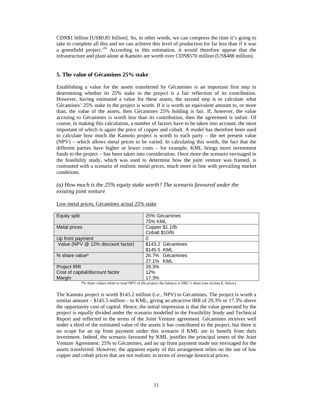CDN\$1 billion [US\$0.85 billion]. So, in other words, we can compress the time it's going to take to complete all this and we can achieve this level of production for far less than if it was a greenfield project.<sup>56</sup> According to this estimation, it would therefore appear that the infrastructure and plant alone at Kamoto are worth over CDN\$570 million (US\$488 million).

#### **5. The value of Gécamines 25% stake**

Establishing a value for the assets transferred by Gécamines is an important first step in determining whether its 25% stake in the project is a fair reflection of its contribution. However, having estimated a value for these assets, the second step is to calculate what Gécamines' 25% stake in the project is worth. If it is worth an equivalent amount to, or more than, the value of the assets, then Gécamines 25% holding is fair. If, however, the value accruing to Gécamines is worth less than its contribution, then the agreement is unfair. Of course, in making this calculation, a number of factors have to be taken into account, the most important of which is again the price of copper and cobalt. A model has therefore been used to calculate how much the Kamoto project is worth to each party – the net present value (NPV) – which allows metal prices to be varied. In calculating this worth, the fact that the different parties have higher or lower costs – for example, KML brings more investment funds to the project – has been taken into consideration. Once more the scenario envisaged in the feasibility study, which was used to determine how the joint venture was framed, is contrasted with a scenario of realistic metal prices, much more in line with prevailing market conditions.

#### *(a) How much is the 25% equity stake worth? The scenario favoured under the existing joint venture*

| Equity split                      | 25% Gécamines     |
|-----------------------------------|-------------------|
|                                   | 75% KML           |
| Metal prices                      | Copper \$1.1/lb   |
|                                   | Cobalt \$10/lb    |
| Up front payment                  |                   |
| Value (NPV @ 12% discount factor) | \$143.2 Gécamines |
|                                   | \$145.5 KML       |
| % share value*                    | 26.7% Gécamines   |
|                                   | 27.1% KML         |
| Project IRR                       | 29.3%             |
| Cost of capital/discount factor   | 12%               |
| Margin                            | 17.3%             |

Low metal prices, Gécamines actual 25% stake

\*% share values relate to total NPV of the project; the balance is DRC's share (see section E, below)

The Kamoto project is worth \$143.2 million (i.e., NPV) to Gécamines. The project is worth a similar amount – \$145.5 million – to KML, giving an attractive IRR of 29.3% or 17.3% above the opportunity cost of capital. Hence, the initial impression is that the value generated by the project is equally divided under the scenario modelled in the Feasibility Study and Technical Report and reflected in the terms of the Joint Venture agreement. Gécamines receives well under a third of the estimated value of the assets it has contributed to the project, but there is no scope for an up front payment under this scenario if KML are to benefit from their investment. Indeed, the scenario favoured by KML justifies the principal tenets of the Joint Venture Agreement: 25% to Gécamines, and no up front payment made nor envisaged for the assets transferred. However, the apparent equity of this arrangement relies on the use of low copper and cobalt prices that are not realistic in terms of average historical prices.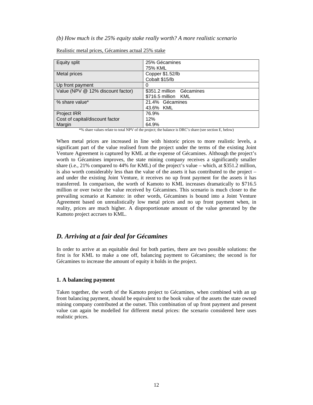#### *(b) How much is the 25% equity stake really worth? A more realistic scenario*

| Equity split                      | 25% Gécamines             |  |  |
|-----------------------------------|---------------------------|--|--|
|                                   | 75% KML                   |  |  |
| Metal prices                      | Copper \$1.52/lb          |  |  |
|                                   | Cobalt \$15/lb            |  |  |
| Up front payment                  |                           |  |  |
| Value (NPV @ 12% discount factor) | \$351.2 million Gécamines |  |  |
|                                   | \$716.5 million KML       |  |  |
| % share value*                    | 21.4% Gécamines           |  |  |
|                                   | 43.6% KML                 |  |  |
| Project IRR                       | 76.9%                     |  |  |
| Cost of capital/discount factor   | 12%                       |  |  |
| Margin                            | 64.9%                     |  |  |

#### Realistic metal prices, Gécamines actual 25% stake

\*% share values relate to total NPV of the project; the balance is DRC's share (see section E, below)

When metal prices are increased in line with historic prices to more realistic levels, a significant part of the value realised from the project under the terms of the existing Joint Venture Agreement is captured by KML at the expense of Gécamines. Although the project's worth to Gécamines improves, the state mining company receives a significantly smaller share (i.e., 21% compared to 44% for KML) of the project's value – which, at \$351.2 million, is also worth considerably less than the value of the assets it has contributed to the project – and under the existing Joint Venture, it receives no up front payment for the assets it has transferred. In comparison, the worth of Kamoto to KML increases dramatically to \$716.5 million or over twice the value received by Gécamines. This scenario is much closer to the prevailing scenario at Kamoto: in other words, Gécamines is bound into a Joint Venture Agreement based on unrealistically low metal prices and no up front payment when, in reality, prices are much higher. A disproportionate amount of the value generated by the Kamoto project accrues to KML.

### *D. Arriving at a fair deal for Gécamines*

In order to arrive at an equitable deal for both parties, there are two possible solutions: the first is for KML to make a one off, balancing payment to Gécamines; the second is for Gécamines to increase the amount of equity it holds in the project.

#### **1. A balancing payment**

Taken together, the worth of the Kamoto project to Gécamines, when combined with an up front balancing payment, should be equivalent to the book value of the assets the state owned mining company contributed at the outset. This combination of up front payment and present value can again be modelled for different metal prices: the scenario considered here uses realistic prices.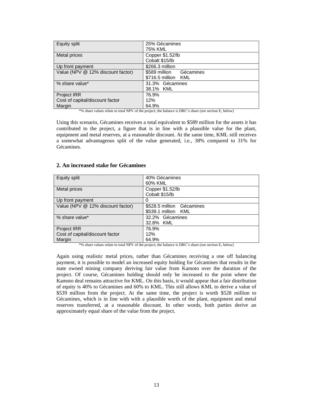| Equity split                      | 25% Gécamines              |  |  |
|-----------------------------------|----------------------------|--|--|
|                                   | 75% KML                    |  |  |
| Metal prices                      | Copper \$1.52/lb           |  |  |
|                                   | Cobalt \$15/lb             |  |  |
| Up front payment                  | \$266.3 million            |  |  |
| Value (NPV @ 12% discount factor) | \$589 million<br>Gécamines |  |  |
|                                   | \$716.5 million KML        |  |  |
| % share value*                    | 31.3% Gécamines            |  |  |
|                                   | 38.1% KML                  |  |  |
| <b>Project IRR</b>                | 76.9%                      |  |  |
| Cost of capital/discount factor   | 12%                        |  |  |
| Margin                            | 64.9%                      |  |  |

\*% share values relate to total NPV of the project; the balance is DRC's share (see section E, below)

Using this scenario, Gécamines receives a total equivalent to \$589 million for the assets it has contributed to the project, a figure that is in line with a plausible value for the plant, equipment and metal reserves, at a reasonable discount. At the same time, KML still receives a somewhat advantageous split of the value generated, i.e., 38% compared to 31% for Gécamines.

#### **2. An increased stake for Gécamines**

| <b>Equity split</b>               | 40% Gécamines<br>60% KML           |
|-----------------------------------|------------------------------------|
| Metal prices                      | Copper \$1.52/lb<br>Cobalt \$15/lb |
| Up front payment                  | 0                                  |
| Value (NPV @ 12% discount factor) | \$528.5 million Gécamines          |
|                                   | \$539.1 million KML                |
| % share value*                    | 32.2% Gécamines                    |
|                                   | 32.8% KML                          |
| <b>Project IRR</b>                | 76.9%                              |
| Cost of capital/discount factor   | 12%                                |
| Margin                            | 64.9%                              |

\*% share values relate to total NPV of the project; the balance is DRC's share (see section E, below)

Again using realistic metal prices, rather than Gécamines receiving a one off balancing payment, it is possible to model an increased equity holding for Gécamines that results in the state owned mining company deriving fair value from Kamoto over the duration of the project. Of course, Gécamines holding should only be increased to the point where the Kamoto deal remains attractive for KML. On this basis, it would appear that a fair distribution of equity is 40% to Gécamines and 60% to KML. This still allows KML to derive a value of \$539 million from the project. At the same time, the project is worth \$528 million to Gécamines, which is in line with with a plausible worth of the plant, equipment and metal reserves transferred, at a reasonable discount. In other words, both parties derive an approximately equal share of the value from the project.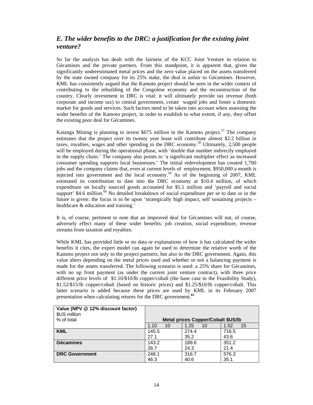### *E. The wider benefits to the DRC: a justification for the existing joint venture?*

So far the analysis has dealt with the fairness of the KCC Joint Venture in relation to Gécamines and the private partners. From this standpoint, it is apparent that, given the significantly underestimated metal prices and the zero value placed on the assets transferred by the state owned company for its 25% stake, the deal is unfair to Gécamines. However, KML has consistently argued that the Kamoto project should be seen in the wider context of contributing to the rebuilding of the Congolese economy and the reconstruction of the country. Clearly investment in DRC is vital: it will ultimately provide tax revenue (both corporate and income tax) to central government, create waged jobs and foster a domestic market for goods and services. Such factors need to be taken into account when assessing the wider benefits of the Kamoto project, in order to establish to what extent, if any, they offset the existing poor deal for Gécamines.

Katanga Mining is planning to invest  $$675$  million in the Kamoto project.<sup>57</sup> The company estimates that the project over its twenty year lease will contribute almost \$2.2 billion in taxes, royalties, wages and other spending to the DRC economy.<sup>58</sup> Ultimately, 2,500 people will be employed during the operational phase, with 'double that number indirectly employed in the supply chain.' The company also points to 'a significant multiplier effect as increased consumer spending supports local businesses.' The initial redevelopment has created 1,700 jobs and the company claims that, even at current levels of employment, \$950,000 a month is injected into government and the local economy.<sup>59</sup> As of the beginning of 2007, KML estimated its contribution to date into the DRC economy at \$10.4 million, of which expenditure on locally sourced goods accounted for \$5.1 million and 'payroll and social support'  $$4.6$  million.<sup>60</sup> No detailed breakdown of social expenditure per se to date or in the future is given: the focus is to be upon 'strategically high impact, self sustaining projects – healthcare & education and training.'

It is, of course, pertinent to note that an improved deal for Gécamines will not, of course, adversely effect many of these wider benefits: job creation, social expenditure, revenue streams from taxation and royalties.

While KML has provided little or no data or explanations of how it has calculated the wider benefits it cites, the expert model can again be used to determine the relative worth of the Kamoto project not only to the project partners, but also to the DRC government. Again, this value alters depending on the metal prices used and whether or not a balancing payment is made for the assets transferred. The following scenario is used: a 25% share for Gécamines, with no up front payment (as under the current joint venture contract), with three price different price levels of \$1.10/\$10/lb copper/cobalt (the base case in the Feasibility Study), \$1.52/\$15/lb copper/cobalt (based on historic prices) and \$1.25/\$10/lb copper/cobalt. This latter scenario is added because these prices are used by KML in its February 2007 presentation when calculating returns for the DRC government.**<sup>61</sup>**

| Value (NPV @ 12% discount factor)<br>\$US million<br>% of total |            | <b>Metal prices Copper/Cobalt \$US/lb</b> |            |
|-----------------------------------------------------------------|------------|-------------------------------------------|------------|
|                                                                 | 1.10<br>10 | 1.25<br>10                                | 1.52<br>15 |
| <b>KML</b>                                                      | 145.5      | 274.4                                     | 716.5      |
|                                                                 | 27.1       | 35.2                                      | 43.6       |
| <b>Gécamines</b>                                                | 143.2      | 189.6                                     | 351.2      |
|                                                                 | 26.7       | 24.3                                      | 21.4       |
| <b>DRC Government</b>                                           | 248.1      | 316.7                                     | 576.3      |
|                                                                 | 46.3       | 40.6                                      | 35.1       |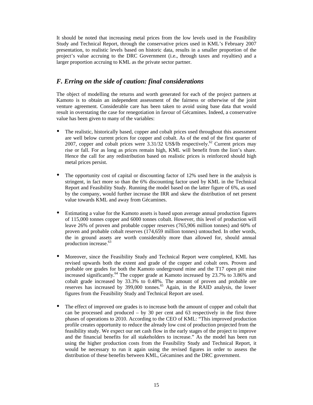It should be noted that increasing metal prices from the low levels used in the Feasibility Study and Technical Report, through the conservative prices used in KML's February 2007 presentation, to realistic levels based on historic data, results in a smaller proportion of the project's value accruing to the DRC Government (i.e., through taxes and royalties) and a larger proportion accruing to KML as the private sector partner.

### *F. Erring on the side of caution: final considerations*

The object of modelling the returns and worth generated for each of the project partners at Kamoto is to obtain an independent assessment of the fairness or otherwise of the joint venture agreement. Considerable care has been taken to avoid using base data that would result in overstating the case for renegotiation in favour of Gécamines. Indeed, a conservative value has been given to many of the variables:

- The realistic, historically based, copper and cobalt prices used throughout this assessment are well below current prices for copper and cobalt. As of the end of the first quarter of 2007, copper and cobalt prices were  $3.31/32$  US\$/lb respectively.<sup>62</sup> Current prices may rise or fall. For as long as prices remain high, KML will benefit from the lion's share. Hence the call for any redistribution based on realistic prices is reinforced should high metal prices persist.
- The opportunity cost of capital or discounting factor of  $12\%$  used here in the analysis is stringent, in fact more so than the 6% discounting factor used by KML in the Technical Report and Feasibility Study. Running the model based on the latter figure of 6%, as used by the company, would further increase the IRR and skew the distribution of net present value towards KML and away from Gécamines.
- Estimating a value for the Kamoto assets is based upon average annual production figures of 115,000 tonnes copper and 6000 tonnes cobalt. However, this level of production will leave 26% of proven and probable copper reserves (765,906 million tonnes) and 60% of proven and probable cobalt reserves (174,659 million tonnes) untouched. In other words, the in ground assets are worth considerably more than allowed for, should annual production increase.<sup>63</sup>
- Moreover, since the Feasibility Study and Technical Report were completed, KML has revised upwards both the extent and grade of the copper and cobalt ores. Proven and probable ore grades for both the Kamoto underground mine and the T17 open pit mine increased significantly.<sup>64</sup> The copper grade at Kamoto increased by 23.7% to 3.86% and cobalt grade increased by 33.3% to 0.48%. The amount of proven and probable ore reserves has increased by 399,000 tonnes.<sup>65</sup> Again, in the RAID analysis, the lower figures from the Feasibility Study and Technical Report are used.
- The effect of improved ore grades is to increase both the amount of copper and cobalt that can be processed and produced – by 30 per cent and 63 respectively in the first three phases of operations to 2010. According to the CEO of KML: "This improved production profile creates opportunity to reduce the already low cost of production projected from the feasibility study. We expect our net cash flow in the early stages of the project to improve and the financial benefits for all stakeholders to increase." As the model has been run using the higher production costs from the Feasibility Study and Technical Report, it would be necessary to run it again using the revised figures in order to assess the distribution of these benefits between KML, Gécamines and the DRC government.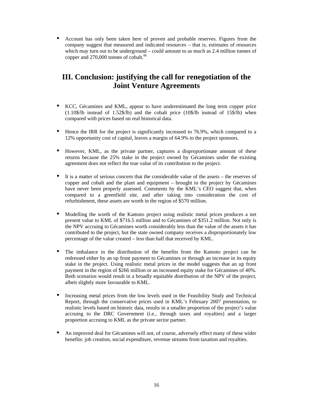• Account has only been taken here of proven and probable reserves. Figures from the company suggest that measured and indicated resources – that is, estimates of resources which may turn out to be underground – could amount to as much as 2.4 million tonnes of copper and 270,000 tonnes of cobalt.<sup>66</sup>

## **III. Conclusion: justifying the call for renegotiation of the Joint Venture Agreements**

- KCC, Gécamines and KML, appear to have underestimated the long term copper price (1.10\$/lb instead of 1.52\$/lb) and the cobalt price (10\$/lb instead of 15\$/lb) when compared with prices based on real historical data.
- Hence the IRR for the project is significantly increased to 76.9%, which compared to a 12% opportunity cost of capital, leaves a margin of 64.9% to the project sponsors.
- However, KML, as the private partner, captures a disproportionate amount of these returns because the 25% stake in the project owned by Gécamines under the existing agreement does not reflect the true value of its contribution to the project.
- It is a matter of serious concern that the considerable value of the assets the reserves of copper and cobalt and the plant and equipment – brought to the project by Gécamines have never been properly assessed. Comments by the KML's CEO suggest that, when compared to a greenfield site, and after taking into consideration the cost of refurbishment, these assets are worth in the region of \$570 million.
- Modelling the worth of the Kamoto project using realistic metal prices produces a net present value to KML of \$716.5 million and to Gécamines of \$351.2 million. Not only is the NPV accruing to Gécamines worth considerably less than the value of the assets it has contributed to the project, but the state owned company receives a disproportionately low percentage of the value created – less than half that received by KML.
- The imbalance in the distribution of the benefits from the Kamoto project can be redressed either by an up front payment to Gécamines or through an increase in its equity stake in the project. Using realistic metal prices in the model suggests that an up front payment in the region of \$266 million or an increased equity stake for Gécamines of 40%. Both scenarios would result in a broadly equitable distribution of the NPV of the project, albeit slightly more favourable to KML.
- Increasing metal prices from the low levels used in the Feasibility Study and Technical Report, through the conservative prices used in KML's February 2007 presentation, to realistic levels based on historic data, results in a smaller proportion of the project's value accruing to the DRC Government (i.e., through taxes and royalties) and a larger proportion accruing to KML as the private sector partner.
- An improved deal for Gécamines will not, of course, adversely effect many of these wider benefits: job creation, social expenditure, revenue streams from taxation and royalties.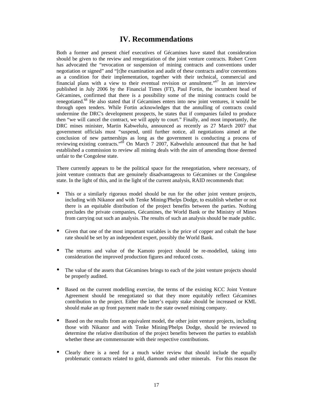### **IV. Recommendations**

Both a former and present chief executives of Gécamines have stated that consideration should be given to the review and renegotiation of the joint venture contracts. Robert Crem has advocated the "revocation or suspension of mining contracts and conventions under negotiation or signed" and "[t]he examination and audit of these contracts and/or conventions as a condition for their implementation, together with their technical, commercial and financial plans with a view to their eventual revision or annulment.<sup> $0.67$ </sup> In an interview published in July 2006 by the Financial Times (FT), Paul Fortin, the incumbent head of Gécamines, confirmed that there is a possibility some of the mining contracts could be renegotiated.<sup>68</sup> He also stated that if Gécamines enters into new joint ventures, it would be through open tenders. While Fortin acknowledges that the annulling of contracts could undermine the DRC's development prospects, he states that if companies failed to produce then "we will cancel the contract, we will apply to court." Finally, and most importantly, the DRC mines minister, Martin Kabwelulu, announced as recently as 27 March 2007 that government officials must "suspend, until further notice, all negotiations aimed at the conclusion of new partnerships as long as the government is conducting a process of reviewing existing contracts."<sup>69</sup> On March 7 2007, Kabwelulu announced that that he had established a commission to review all mining deals with the aim of amending those deemed unfair to the Congolese state.

There currently appears to be the political space for the renegotiation, where necessary, of joint venture contracts that are genuinely disadvantageous to Gécamines or the Congolese state. In the light of this, and in the light of the current analysis, RAID recommends that:

- This or a similarly rigorous model should be run for the other joint venture projects, including with Nikanor and with Tenke Mining/Phelps Dodge, to establish whether or not there is an equitable distribution of the project benefits between the parties. Nothing precludes the private companies, Gécamines, the World Bank or the Ministry of Mines from carrying out such an analysis. The results of such an analysis should be made public.
- Given that one of the most important variables is the price of copper and cobalt the base rate should be set by an independent expert, possibly the World Bank.
- The returns and value of the Kamoto project should be re-modelled, taking into consideration the improved production figures and reduced costs.
- The value of the assets that Gécamines brings to each of the joint venture projects should be properly audited.
- Based on the current modelling exercise, the terms of the existing KCC Joint Venture Agreement should be renegotiated so that they more equitably reflect Gécamines contribution to the project. Either the latter's equity stake should be increased or KML should make an up front payment made to the state owned mining company.
- Based on the results from an equivalent model, the other joint venture projects, including those with Nikanor and with Tenke Mining/Phelps Dodge, should be reviewed to determine the relative distribution of the project benefits between the parties to establish whether these are commensurate with their respective contributions.
- Clearly there is a need for a much wider review that should include the equally problematic contracts related to gold, diamonds and other minerals. For this reason the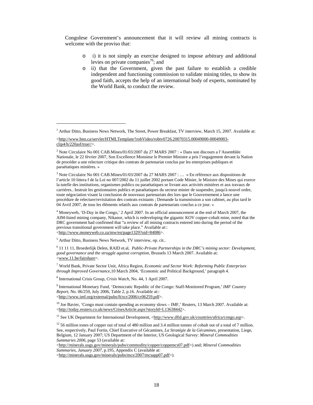Congolese Government's announcement that it will review all mining contracts is welcome with the proviso that:

- o i) it is not simply an exercise designed to impose arbitrary and additional levies on private companies<sup>70</sup>; and
- o ii) that the Government, given the past failure to establish a credible independent and functioning commission to validate mining titles, to show its good faith, accepts the help of an international body of experts, nominated by the World Bank, to conduct the review.

3 Note Circulaire No 001 CAB.Mines/01/03/2007 du 27 MARS 2007 : … « En référence aux dispositions de l'article 10 littera f de la Loi no 007/2002 du 11 juillet 2002 portant Code Minier, le Ministre des Mines qui exerce la tutelle des institutions, organismes publics ou paraétatiques se livrant aux activités minières et aux travaux de carrières.. Instruit les gestionnaires publics et paraétatiques du secteur minier de suspendre, jusqu'à nouvel ordre, toute négociation visant la conclusion de nouveaux partenariats des lors que le Gouvernement a lance une procédure de relecture/revisitation des contrats existants ; Demande la transmission a son cabinet, au plus tard le 04 Avril 2007, de tous les éléments relatifs aux contrats de partenariats conclus a ce jour. »

<sup>4</sup> Moneyweb, 'D-Day in the Congo,' 2 April 2007. In an official announcement at the end of March 2007, the AIM-listed mining company, Nikanor, which is redeveloping the gigantic KOV copper-cobalt mine, noted that the DRC government had confirmed that "a review of all mining contracts entered into during the period of the previous transitional government will take place." Available at:: <http://www.moneyweb.co.za/mw/en/page1329?oid=84086>.

<sup>5</sup> Arthur Ditto, Business News Network, TV interview, op. cit..

l

6 11 11 11, Broederlijk Delen, RAID et.al, *Public-Private Partnerships in the DRC's mining sector: Development, good governance and the struggle against corruption,* Brussels 13 March 2007. Available at: <www.11.be/fairshare>.

7 World Bank, Private Sector Unit, Africa Region, *Economic and Sector Work: Reforming Public Enterprises through Improved Governance*,10 March 2004, 'Economic and Political Background,' paragraph 4.

8 International Crisis Group, *Crisis Watch*, No. 44, 1 April 2007.

9 International Monetary Fund, 'Democratic Republic of the Congo: Staff-Monitored Program,' *IMF Country Report*, No. 06/259, July 2006, Table 2, p.16. Available at:: <http://www.imf.org/external/pubs/ft/scr/2006/cr06259.pdf>.

<sup>10</sup> Joe Bavier, 'Congo must contain spending as economy slows - IMF,' Reuters, 13 March 2007. Available at: <http://today.reuters.co.uk/news/CrisesArticle.aspx?storyId=L13638442>.

<sup>11</sup> See UK Department for International Development, <http://www.dfid.gov.uk/countries/africa/congo.asp>.

 $12$  56 million tones of copper out of total of 480 million and 3.4 million tonnes of cobalt out of a total of 7 million. See, respectively, Paul Fortin, Chief Executive of Gécamines, *La Stratégie de la Gécamines,* presentation, Liege, Belgium, 12 January 2007; US Department of the Interior, US Geological Survey: *Mineral Commodities Summaries 2006*, page 53 (available at:

<http://minerals.usgs.gov/minerals/pubs/commodity/copper/coppemcs07.pdf>) and; *Mineral Commodities Summaries, January 2007*, p.195, Appendix C (available at:

<http://minerals.usgs.gov/minerals/pubs/mcs/2007/mcsapp07.pdf>).

<sup>&</sup>lt;sup>1</sup> Arthur Ditto, Business News Network, The Street, Power Breakfast, TV interview, March 15, 2007. Available at:

 $\langle$ http://www.bnn.ca/servlet/HTMLTemplate/!robVideo/robtv0726.20070315.00049000-00049003clip4/h/220asf/true//>.

<sup>&</sup>lt;sup>2</sup> Note Circulaire No 001 CAB.Mines/01/03/2007 du 27 MARS 2007 : « Dans son discours a l'Assemblée Nationale, le 22 février 2007, Son Excellence Monsieur le Premier Ministre a pris l'engagement devant la Nation de procéder a une relecture critique des contrats de partenariat conclus par les entreprises publiques et paraétatiques minières. »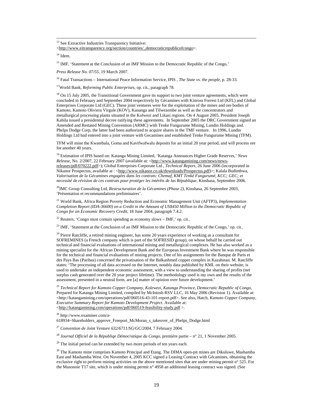<sup>13</sup> See Extractive Industries Transparency Initiative:

<http://www.eitransparency.org/section/countries/\_democraticrepublicofcongo>.

 $14$  Idem.

<sup>15</sup> IMF, 'Statement at the Conclusion of an IMF Mission to the Democratic Republic of the Congo,'

*Press Release No. 07/55*, 19 March 2007.

16 Fatal Transactions – International Peace Information Service, IPIS , *The State vs. the people*, p. 28-33.

17World Bank, *Reforming Public Enterprises*, op. cit., paragraph 78.

<sup>18</sup> On 15 July 2005, the Transitional Government gave its support to two joint venture agreements, which were concluded in February and September 2004 respectively by Gécamines with Kinross Forrest Ltd (KFL) and Global Enterprises Corporate Ltd (GEC). These joint ventures were for the exploitation of the mines and ore bodies of Kamoto, Kamoto Oliviera Virgule (KOV), Kananga and Tilwezembe as well as the concentrators and metallurgical processing plants situated in the Kolwezi and Likasi regions. On 4 August 2005, President Joseph Kabila issued a presidential decree ratifying these agreements. In September 2005 the DRC Government signed an Amended and Restated Mining Convention (ARMC) with Tenke Fungurume Mining, Lundin Holdings and. Phelps Dodge Corp, the latter had been authorized to acquire shares in the TMF venture. In 1996, Lundin Holdings Ltd had entered into a joint venture with Gecamines and established Tenke Fungurume Mining (TFM).

TFM will mine the Kwatebala, Goma and Kavifwafwalu deposits for an initial 20 year period, and will process ore for another 40 years.

19 Estimation of IPIS based on: Katanga Mining Limited, 'Katanga Announces Higher Grade Reserves,' *News Release*, No. 2/2007, 22 February 2007 (available at: <http://www.katangamining.com/news/newsreleases/pdf/070222.pdf>); Global Enterprises Corporate Ltd , *Technical Report*, 26 June 2006 (incorporated in Nikanor Prospectus, available at : <http://www.nikanor.co.uk/downloads/Prospectus.pdf)>; Kalala Budimbwa, *Valorisation de la Gécamines engagées dans les contrats: Chemaf, KMT Tenké Fungurumé, KCC; GEC; et necessité de révision de ces contrats pour protéger les intérêts de las République,* Kinshasa, Septembre 2006*.*

20IMC Group Consulting Ltd, *Restructuration de la Gécamines (Phase 2)*, Kinshasa, 26 Septembre 2003, 'Présentation et recommandations preliminaires'.

21 World Bank, Africa Region Poverty Reduction and Economic Management Unit (AFTP3), *Implementation Completion Report (IDA-36600) on a Credit in the Amount of US\$450 Million to the Democratic Republic of Congo for an Economic Recovery Credit*, 18 June 2004, paragraph 7.4.2.

 $22$  Reuters, 'Congo must contain spending as economy slows – IMF,' op. cit..

<sup>23</sup> IMF, 'Statement at the Conclusion of an IMF Mission to the Democratic Republic of the Congo,' op. cit..

<sup>24</sup> Pierre Ratcliffe, a retired mining engineer, has some 20 years experience of working as a consultant for SOFREMINES (a French company which is part of the SOFRESID group), on whose behalf he carried out technical and financial evaluations of international mining and metallurgical complexes. He has also worked as a mining specialist for the African Development Bank and the European Investment Bank where he was responsible for the technical and financial evaluations of mining projects. One of his assignments for the Banque de Paris et des Pays Bas (Paribas) concerned the privatisation of the Balkashmed copper complex in Kazahstan. M. Ratcliffe states: 'The processing of all data accessed on the Internet, notably data published by KML on their website, is used to undertake an independent economic assessment, with a view to understanding the sharing of profits (net surplus cash generated over the 20 year project lifetime). The methodology used is my own and the results of the assessment, presented in a neutral form, are [a] matter of opinion over future development.'

<sup>25</sup> *Technical Report for Kamoto Copper Company, Kolewezi, Katanga Province, Democratic Republic of Congo*, Prepared for Katanga Mining Limited, compiled by McIntosh RSV LLC, 16 May 2006 (Revision 1). Available at: <http://katangamining.com/operations/pdf/060516-43-101-report.pdf>. See also, Hatch, *Kamoto Copper Company*, *Executive Summary Report for Kamoto Development Project*. Available at: <http://katangamining.com/operations/pdf/060519-feasibility-study.pdf >.

26 http://www.examiner.com/a-

618934~Shareholders\_approve\_Freeport\_McMoran\_s\_takeover\_of\_Phelps\_Dodge.html

<sup>27</sup> *Convention de Joint Venture 632/6711/SG/GC/2004*, 7 February 2004.

<sup>28</sup> *Journal Officiel de la Républiqe Démocratique du Congo*, première partie – n° 21, 1 November 2005.

 $29$  The initial period can be extended by two more periods of ten years each.

<sup>30</sup> The Kamoto mine comprises Kamoto Principal and Etang. The DIMA open-pit mines are Dikuluwe, Mashamba East and Mashamba West. On November 4, 2005 KCC signed a Leasing Contract with Gécamines, obtaining the exclusive right to perform mining activities on the above mentioned sites that are under mining permit n° 525. For the Musonoie T17 site, which is under mining permit n° 4958 an additional leasing contract was signed. (See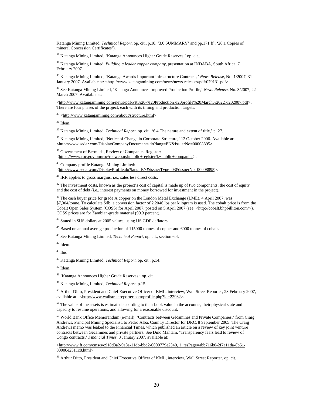Katanga Mining Limited, *Technical Report*, op. cit., p.10, '3.0 SUMMARY' and pp.171 ff., '26.1 Copies of mineral Concession Certificates').

31 Katanga Mining Limited, 'Katanga Announces Higher Grade Reserves,' op. cit..

32 Katanga Mining Limited, *Building a leader copper company,* presentation at INDABA, South Africa, 7 February 2007.

33 Katanga Mining Limited, 'Katanga Awards Important Infrastructure Contracts,' *News Release*, No. 1/2007, 31 January 2007. Available at: <http://www.katangamining.com/news/news-releases/pdf/070131.pdf>.

34 See Katanga Mining Limited, 'Katanga Announces Improved Production Profile,' *News Release*, No. 3/2007, 22 March 2007. Available at:

<http://www.katangamining.com/news/pdf/PR%20-%20Production%20profile%20March%2022%202007.pdf>. There are four phases of the project, each with its timing and production targets.

35 <http://www.katangamining.com/about/structure.html>.

36 Idem.

37 Katanga Mining Limited, *Technical Report*, op. cit., '6.4 The nature and extent of title,' p. 27.

<sup>38</sup> Katanga Mining Limited, 'Notice of Change in Corporate Structure,' 12 October 2006. Available at: <http://www.sedar.com/DisplayCompanyDocuments.do?lang=EN&issuerNo=00008895>.

<sup>39</sup> Government of Bermuda, Review of Companies Register: <https://www.roc.gov.bm/roc/rocweb.nsf/public+register/k+public+companies>.

40 Company profile Katanga Mining Limited:

<http://www.sedar.com/DisplayProfile.do?lang=EN&issuerType=03&issuerNo=00008895>.

 $41$  IRR applies to gross margins, i.e., sales less direct costs.

 $42$  The investment costs, known as the project's cost of capital is made up of two components: the cost of equity and the cost of debt (i.e., interest payments on money borrowed for investment in the project).

 $43$  The cash buyer price for grade A copper on the London Metal Exchange (LME), 4 April 2007, was \$7,304/tonne. To calculate \$/lb, a conversion factor of 2.2046 lbs per kilogram is used. The cobalt price is from the Cobalt Open Sales System (COSS) for April 2007, posted on 5 April 2007 (see: <http://cobalt.bhpbilliton.com/>). COSS prices are for Zambian-grade material (99.3 percent).

44 Stated in \$US dollars at 2005 values, using US GDP deflators.

<sup>45</sup> Based on annual average production of 115000 tonnes of copper and 6000 tonnes of cobalt.

46 See Katanga Mining Limited, *Technical Report*, op. cit., section 6.4.

47 Idem.

48 Ibid.

49 Katanga Mining Limited, *Technical Report*, op. cit., p.14.

50 Idem.

51 'Katanga Announces Higher Grade Reserves,' op. cit..

52 Katanga Mining Limited, *Technical Report*, p.15.

<sup>53</sup> Arthur Ditto, President and Chief Executive Officer of KML, interview, Wall Street Reporter, 23 February 2007, available at : <http://www.wallstreetreporter.com/profile.php?id=22932>.

<sup>54</sup> The value of the assets is estimated according to their book value in the accounts, their physical state and capacity to resume operations, and allowing for a reasonable discount.

55 World Bank Office Memorandum (e-mail), 'Contracts between Gécamines and Private Companies,' from Craig Andrews, Principal Mining Specialist, to Pedro Alba, Country Director for DRC, 8 September 2005. The Craig Andrews memo was leaked to the Financial Times, which published an article on a review of key joint venture contracts between Gécamines and private partners. See Dino Mahtani, 'Transparency fears lead to review of Congo contracts,' *Financial Times*, 3 January 2007, available at:

<http://www.ft.com/cms/s/c918d3a2-9a8a-11db-bbd2-0000779e2340,\_i\_rssPage=abb716b0-2f7a11da-8b51- 00000e2511c8.html>

56 Arthur Ditto, President and Chief Executive Officer of KML, interview, Wall Street Reporter, op. cit.